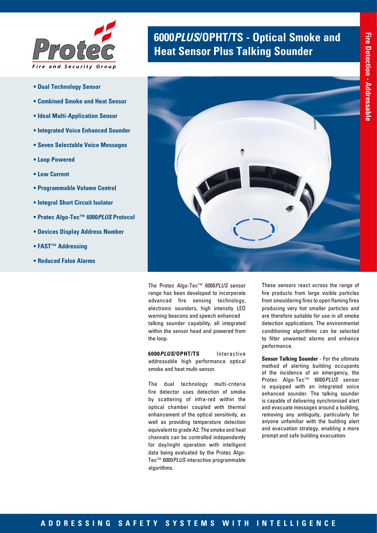

- **Dual Technology Sensor**
- **Combined Smoke and Heat Sensor**
- **Ideal Multi-Application Sensor**
- **Integrated Voice Enhanced Sounder**
- **Seven Selectable Voice Messages**
- **Loop Powered**
- **Low Current**
- **Programmable Volume Control**
- **Integral Short Circuit Isolator**
- **Protec Algo-Tec™ 6000***PLUS* **Protocol**
- **Devices Display Address Number**
- **FAST™ Addressing**
- **Reduced False Alarms**

# **6000***PLUS***/OPHT/TS - Optical Smoke and Heat Sensor Plus Talking Sounder**



The Protec Algo-Tec™ 6000*PLUS* sensor range has been developed to incorporate advanced fire sensing technology, electronic sounders, high intensity LED warning beacons and speech enhanced talking sounder capability, all integrated within the sensor head and powered from the loop.

**6000***PLUS***/OPHT/TS** Interactive addressable high performance optical smoke and heat multi-sensor.

The dual technology multi-criteria fire detector uses detection of smoke by scattering of infra-red within the optical chamber coupled with thermal enhancement of the optical sensitivity, as well as providing temperature detection equivalent to grade A2. The smoke and heat channels can be controlled independently for day/night operation with intelligent data being evaluated by the Protec Algo-Tec™ 6000*PLUS* interactive programmable algorithms.

These sensors react across the range of fire products from large visible particles from smouldering fires to open flaming fires producing very hot smaller particles and are therefore suitable for use in all smoke detection applications. The environmental conditioning algorithms can be selected to filter unwanted alarms and enhance performance.

**Sensor Talking Sounder** - For the ultimate method of alerting building occupants of the incidence of an emergency, the Protec Algo-Tec™ 6000*PLUS* sensor is equipped with an integrated voice enhanced sounder. The talking sounder is capable of delivering synchronised alert and evacuate messages around a building, removing any ambiguity, particularly for anyone unfamiliar with the building alert and evacuation strategy, enabling a more prompt and safe building evacuation.